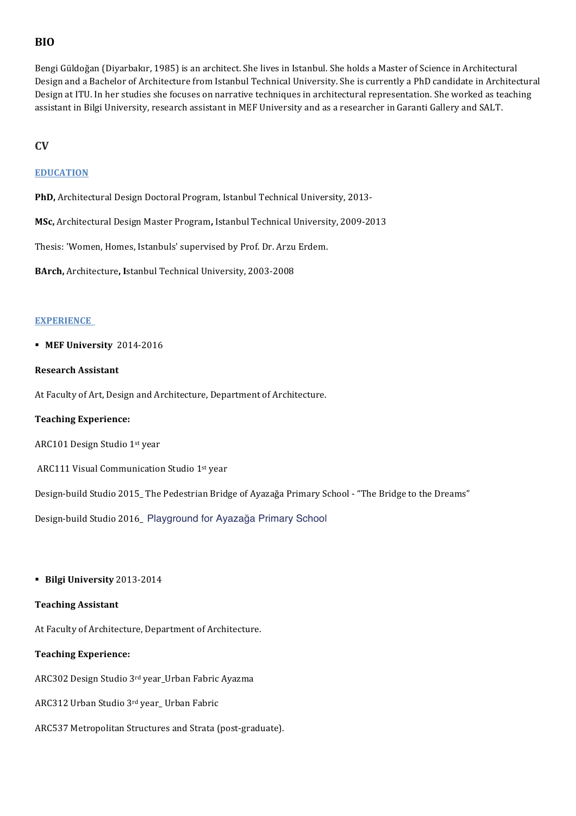# **BIO**

Bengi Güldoğan (Diyarbakır, 1985) is an architect. She lives in Istanbul. She holds a Master of Science in Architectural Design and a Bachelor of Architecture from Istanbul Technical University. She is currently a PhD candidate in Architectural Design at ITU. In her studies she focuses on narrative techniques in architectural representation. She worked as teaching assistant in Bilgi University, research assistant in MEF University and as a researcher in Garanti Gallery and SALT.

## **CV**

## **EDUCATION**

PhD, Architectural Design Doctoral Program, Istanbul Technical University, 2013-

**MSc, Architectural Design Master Program, Istanbul Technical University, 2009-2013** 

Thesis: 'Women, Homes, Istanbuls' supervised by Prof. Dr. Arzu Erdem.

**BArch,** Architecture, Istanbul Technical University, 2003-2008

### **EXPERIENCE**

### **• MEF University 2014-2016**

### **Research Assistant**

At Faculty of Art, Design and Architecture, Department of Architecture.

### **Teaching Experience:**

ARC101 Design Studio 1st year

ARC111 Visual Communication Studio 1st year

Design-build Studio 2015\_ The Pedestrian Bridge of Ayazağa Primary School - "The Bridge to the Dreams"

Design-build Studio 2016\_ Playground for Ayazağa Primary School

### § **Bilgi University** 2013-2014

### **Teaching Assistant**

At Faculty of Architecture, Department of Architecture.

### **Teaching Experience:**

ARC302 Design Studio 3rd year\_Urban Fabric Ayazma

- ARC312 Urban Studio 3rd year\_ Urban Fabric
- ARC537 Metropolitan Structures and Strata (post-graduate).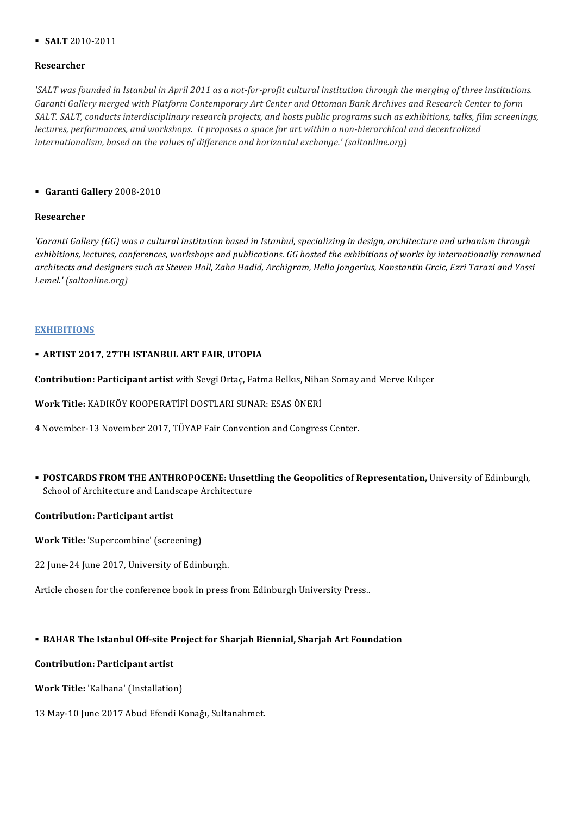## § **SALT** 2010-2011

### **Researcher**

'SALT was founded in Istanbul in April 2011 as a not-for-profit cultural institution through the merging of three institutions. Garanti Gallery merged with Platform Contemporary Art Center and Ottoman Bank Archives and Research Center to form SALT. SALT, conducts interdisciplinary research projects, and hosts public programs such as exhibitions, talks, film screenings, *lectures, performances, and workshops. It proposes a space for art within a non-hierarchical and decentralized internationalism, based on the values of difference and horizontal exchange.' (saltonline.org)* 

### § **Garanti Gallery** 2008-2010

### **Researcher**

*'Garanti Gallery* (GG) was a cultural institution based in Istanbul, specializing in design, architecture and urbanism through exhibitions, lectures, conferences, workshops and publications. GG hosted the exhibitions of works by internationally renowned architects and designers such as Steven Holl, Zaha Hadid, Archigram, Hella Jongerius, Konstantin Grcic, Ezri Tarazi and Yossi *Lemel.' (saltonline.org)*

## **EXHIBITIONS**

## § **ARTIST 2017, 27TH ISTANBUL ART FAIR**, **UTOPIA**

**Contribution: Participant artist** with Sevgi Ortaç, Fatma Belkıs, Nihan Somay and Merve Kılıçer

Work Title: KADIKÖY KOOPERATİFİ DOSTLARI SUNAR: ESAS ÖNERİ

4 November-13 November 2017, TÜYAP Fair Convention and Congress Center.

**• POSTCARDS FROM THE ANTHROPOCENE: Unsettling the Geopolitics of Representation, University of Edinburgh,** School of Architecture and Landscape Architecture

### **Contribution: Participant artist**

**Work Title:** 'Supercombine' (screening)

22 June-24 June 2017, University of Edinburgh.

Article chosen for the conference book in press from Edinburgh University Press..

## **• BAHAR The Istanbul Off-site Project for Sharjah Biennial, Sharjah Art Foundation**

## **Contribution: Participant artist**

**Work Title:** 'Kalhana' (Installation)

13 May-10 June 2017 Abud Efendi Konağı, Sultanahmet.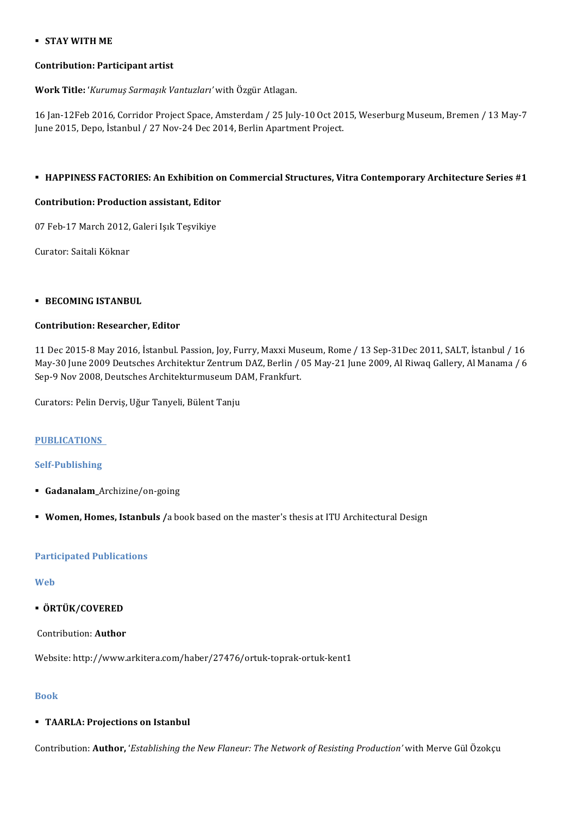## § **STAY WITH ME**

### **Contribution: Participant artist**

**Work Title:** '*Kurumuş Sarmaşık Vantuzları'* with Özgür Atlagan.

16 Jan-12Feb 2016, Corridor Project Space, Amsterdam / 25 July-10 Oct 2015, Weserburg Museum, Bremen / 13 May-7 June 2015, Depo, İstanbul / 27 Nov-24 Dec 2014, Berlin Apartment Project.

## **EXPINESS FACTORIES: An Exhibition on Commercial Structures, Vitra Contemporary Architecture Series #1**

## **Contribution: Production assistant, Editor**

07 Feb-17 March 2012, Galeri Işık Teşvikiye

Curator: Saitali Köknar

## **E** BECOMING ISTANBUL

## **Contribution: Researcher, Editor**

11 Dec 2015-8 May 2016, İstanbul. Passion, Joy, Furry, Maxxi Museum, Rome / 13 Sep-31Dec 2011, SALT, İstanbul / 16 May-30 June 2009 Deutsches Architektur Zentrum DAZ, Berlin / 05 May-21 June 2009, Al Riwaq Gallery, Al Manama / 6 Sep-9 Nov 2008, Deutsches Architekturmuseum DAM, Frankfurt.

Curators: Pelin Derviş, Uğur Tanyeli, Bülent Tanju

### **PUBLICATIONS**

## **Self-Publishing**

- § **Gadanalam\_**Archizine/on-going
- **Women, Homes, Istanbuls** /a book based on the master's thesis at ITU Architectural Design

### **Participated Publications**

# **Web**

§ **ÖRTÜK/COVERED**

# Contribution: **Author**

Website: http://www.arkitera.com/haber/27476/ortuk-toprak-ortuk-kent1

# **Book**

# **• TAARLA: Projections on Istanbul**

Contribution: Author, '*Establishing the New Flaneur: The Network of Resisting Production'* with Merve Gül Özokçu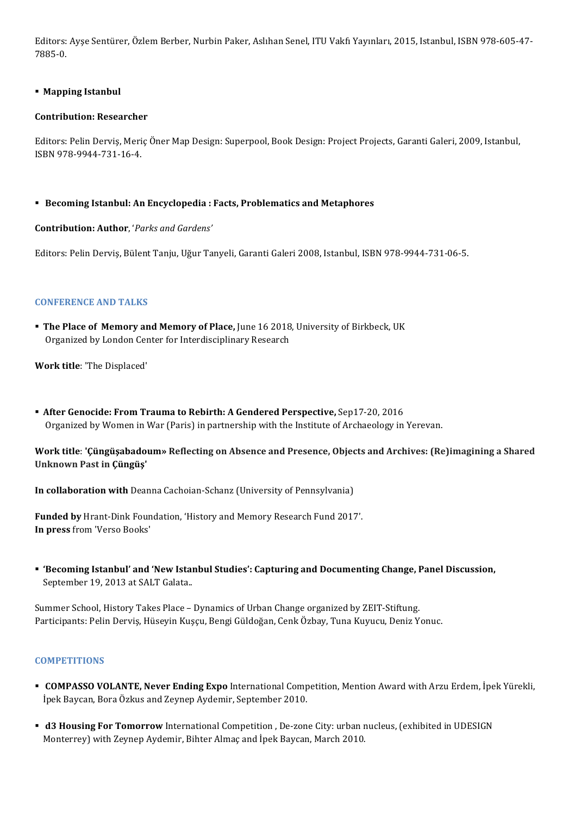Editors: Ayse Sentürer, Özlem Berber, Nurbin Paker, Aslıhan Senel, ITU Vakfı Yayınları, 2015, Istanbul, ISBN 978-605-47-7885-0.

## **E** Mapping Istanbul

### **Contribution: Researcher**

Editors: Pelin Derviş, Meriç Öner Map Design: Superpool, Book Design: Project Projects, Garanti Galeri, 2009, Istanbul, ISBN 978-9944-731-16-4.

§ **Becoming Istanbul: An Encyclopedia : Facts, Problematics and Metaphores**

## **Contribution: Author**, '*Parks and Gardens'*

Editors: Pelin Derviş, Bülent Tanju, Uğur Tanyeli, Garanti Galeri 2008, Istanbul, ISBN 978-9944-731-06-5.

## **CONFERENCE AND TALKS**

**• The Place of Memory and Memory of Place, June 16 2018, University of Birkbeck, UK** Organized by London Center for Interdisciplinary Research

**Work title**: 'The Displaced'

**• After Genocide: From Trauma to Rebirth: A Gendered Perspective, Sep17-20, 2016** Organized by Women in War (Paris) in partnership with the Institute of Archaeology in Yerevan.

## **Work title: 'Çüngüşabadoum»** Reflecting on Absence and Presence, Objects and Archives: (Re)imagining a Shared **Unknown Past in Çüngüş'**

**In collaboration with** Deanna Cachoian-Schanz (University of Pennsylvania)

Funded by Hrant-Dink Foundation, 'History and Memory Research Fund 2017'. **In press** from 'Verso Books'

**• 'Becoming Istanbul' and 'New Istanbul Studies': Capturing and Documenting Change, Panel Discussion,** September 19, 2013 at SALT Galata..

Summer School, History Takes Place – Dynamics of Urban Change organized by ZEIT-Stiftung. Participants: Pelin Dervis, Hüseyin Kuşçu, Bengi Güldoğan, Cenk Özbay, Tuna Kuyucu, Deniz Yonuc.

### **COMPETITIONS**

- **COMPASSO VOLANTE, Never Ending Expo** International Competition, Mention Award with Arzu Erdem, İpek Yürekli, İpek Baycan, Bora Özkus and Zeynep Aydemir, September 2010.
- **d3 Housing For Tomorrow** International Competition, De-zone City: urban nucleus, (exhibited in UDESIGN Monterrey) with Zeynep Aydemir, Bihter Almaç and İpek Baycan, March 2010.